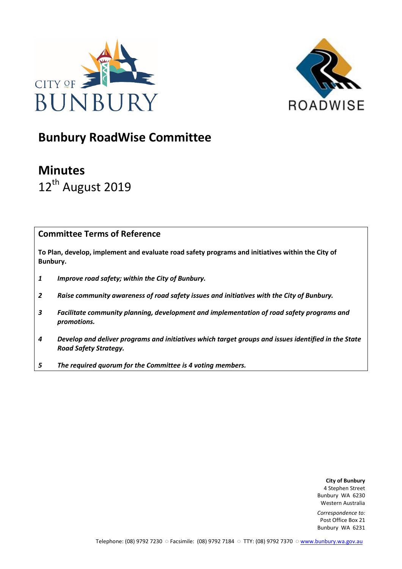



# Bunbury RoadWise Committee

# Minutes 12<sup>th</sup> August 2019

## Committee Terms of Reference

To Plan, develop, implement and evaluate road safety programs and initiatives within the City of Bunbury.

- 1 Improve road safety; within the City of Bunbury.
- 2 Raise community awareness of road safety issues and initiatives with the City of Bunbury.
- 3 Facilitate community planning, development and implementation of road safety programs and promotions.
- 4 Develop and deliver programs and initiatives which target groups and issues identified in the State Road Safety Strategy.
- 5 The required quorum for the Committee is 4 voting members.

City of Bunbury 4 Stephen Street Bunbury WA 6230 Western Australia

Correspondence to: Post Office Box 21 Bunbury WA 6231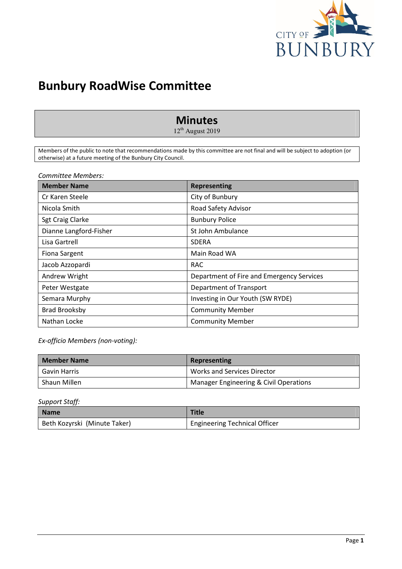

# Bunbury RoadWise Committee

# Minutes

 $12<sup>th</sup>$  August 2019

Members of the public to note that recommendations made by this committee are not final and will be subject to adoption (or otherwise) at a future meeting of the Bunbury City Council.

Committee Members:

| <b>Member Name</b>      | <b>Representing</b>                       |
|-------------------------|-------------------------------------------|
| Cr Karen Steele         | City of Bunbury                           |
| Nicola Smith            | Road Safety Advisor                       |
| <b>Sgt Craig Clarke</b> | <b>Bunbury Police</b>                     |
| Dianne Langford-Fisher  | St John Ambulance                         |
| Lisa Gartrell           | <b>SDERA</b>                              |
| <b>Fiona Sargent</b>    | Main Road WA                              |
| Jacob Azzopardi         | <b>RAC</b>                                |
| Andrew Wright           | Department of Fire and Emergency Services |
| Peter Westgate          | Department of Transport                   |
| Semara Murphy           | Investing in Our Youth (SW RYDE)          |
| <b>Brad Brooksby</b>    | <b>Community Member</b>                   |
| Nathan Locke            | <b>Community Member</b>                   |

Ex-officio Members (non-voting):

| <b>Member Name</b> | Representing                           |
|--------------------|----------------------------------------|
| Gavin Harris       | <b>Works and Services Director</b>     |
| Shaun Millen       | Manager Engineering & Civil Operations |

Support Staff:

| Name                         | <b>Title</b>                         |
|------------------------------|--------------------------------------|
| Beth Kozyrski (Minute Taker) | <b>Engineering Technical Officer</b> |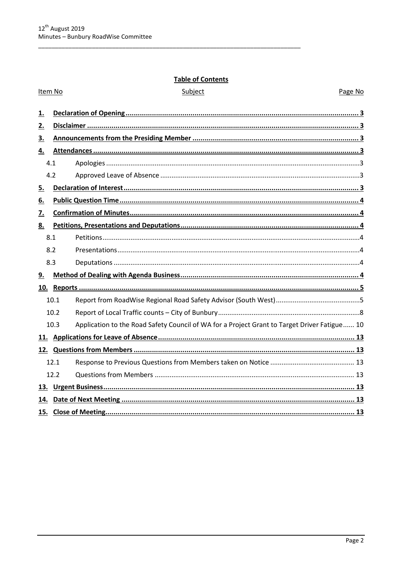## **Table of Contents**

#### Item No

#### Subject

Page No

| 1.        |      |                                                                                              |  |
|-----------|------|----------------------------------------------------------------------------------------------|--|
| 2.        |      |                                                                                              |  |
| <u>3.</u> |      |                                                                                              |  |
| 4.        |      |                                                                                              |  |
|           | 4.1  |                                                                                              |  |
|           | 4.2  |                                                                                              |  |
| <u>5.</u> |      |                                                                                              |  |
| <u>6.</u> |      |                                                                                              |  |
| 7.        |      |                                                                                              |  |
| 8.        |      |                                                                                              |  |
|           | 8.1  |                                                                                              |  |
|           | 8.2  |                                                                                              |  |
|           | 8.3  |                                                                                              |  |
| 9.        |      |                                                                                              |  |
|           |      |                                                                                              |  |
|           | 10.1 |                                                                                              |  |
|           | 10.2 |                                                                                              |  |
|           | 10.3 | Application to the Road Safety Council of WA for a Project Grant to Target Driver Fatigue 10 |  |
|           |      |                                                                                              |  |
|           |      |                                                                                              |  |
|           | 12.1 |                                                                                              |  |
|           | 12.2 |                                                                                              |  |
|           |      |                                                                                              |  |
|           |      |                                                                                              |  |
|           |      |                                                                                              |  |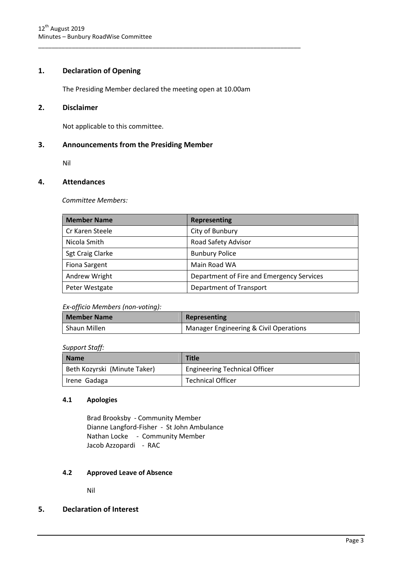#### 1. Declaration of Opening

The Presiding Member declared the meeting open at 10.00am

\_\_\_\_\_\_\_\_\_\_\_\_\_\_\_\_\_\_\_\_\_\_\_\_\_\_\_\_\_\_\_\_\_\_\_\_\_\_\_\_\_\_\_\_\_\_\_\_\_\_\_\_\_\_\_\_\_\_\_\_\_\_\_\_\_\_\_\_\_\_\_\_\_\_\_\_\_\_

#### 2. Disclaimer

Not applicable to this committee.

#### 3. Announcements from the Presiding Member

Nil

#### 4. Attendances

Committee Members:

| <b>Member Name</b>   | <b>Representing</b>                       |
|----------------------|-------------------------------------------|
| Cr Karen Steele      | City of Bunbury                           |
| Nicola Smith         | Road Safety Advisor                       |
| Sgt Craig Clarke     | <b>Bunbury Police</b>                     |
| <b>Fiona Sargent</b> | Main Road WA                              |
| Andrew Wright        | Department of Fire and Emergency Services |
| Peter Westgate       | Department of Transport                   |

#### Ex-officio Members (non-voting):

| <b>Member Name</b> | Representing                           |
|--------------------|----------------------------------------|
| Shaun Millen       | Manager Engineering & Civil Operations |

#### Support Staff:

| <b>Name</b>                  | <b>Title</b>                         |
|------------------------------|--------------------------------------|
| Beth Kozyrski (Minute Taker) | <b>Engineering Technical Officer</b> |
| Irene Gadaga                 | <b>Technical Officer</b>             |

#### 4.1 Apologies

Brad Brooksby - Community Member Dianne Langford-Fisher - St John Ambulance Nathan Locke - Community Member Jacob Azzopardi - RAC

#### 4.2 Approved Leave of Absence

Nil

#### 5. Declaration of Interest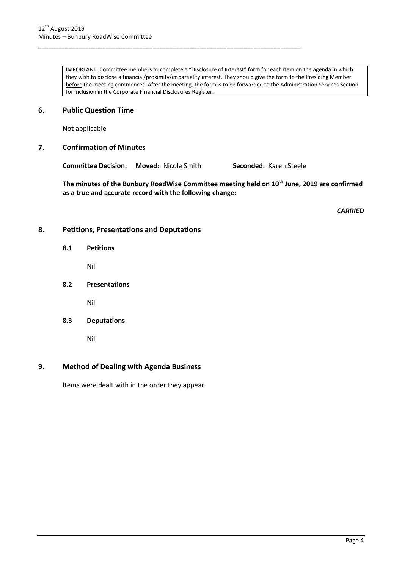IMPORTANT: Committee members to complete a "Disclosure of Interest" form for each item on the agenda in which they wish to disclose a financial/proximity/impartiality interest. They should give the form to the Presiding Member before the meeting commences. After the meeting, the form is to be forwarded to the Administration Services Section for inclusion in the Corporate Financial Disclosures Register.

#### 6. Public Question Time

Not applicable

#### 7. Confirmation of Minutes

Committee Decision: Moved: Nicola Smith Seconded: Karen Steele

\_\_\_\_\_\_\_\_\_\_\_\_\_\_\_\_\_\_\_\_\_\_\_\_\_\_\_\_\_\_\_\_\_\_\_\_\_\_\_\_\_\_\_\_\_\_\_\_\_\_\_\_\_\_\_\_\_\_\_\_\_\_\_\_\_\_\_\_\_\_\_\_\_\_\_\_\_\_

The minutes of the Bunbury RoadWise Committee meeting held on 10<sup>th</sup> June, 2019 are confirmed as a true and accurate record with the following change:

**CARRIED** 

#### 8. Petitions, Presentations and Deputations

8.1 Petitions

Nil

8.2 Presentations

Nil

8.3 Deputations

Nil

#### 9. Method of Dealing with Agenda Business

Items were dealt with in the order they appear.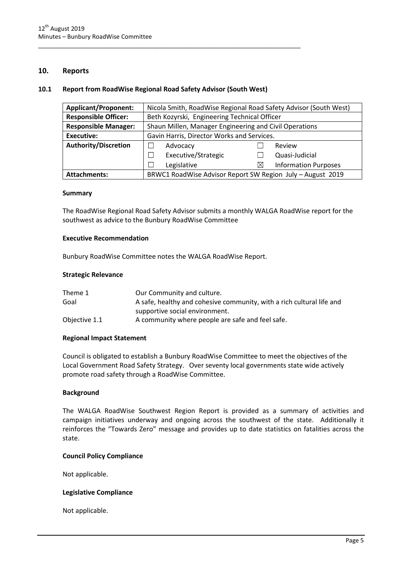#### 10. Reports

#### 10.1 Report from RoadWise Regional Road Safety Advisor (South West)

\_\_\_\_\_\_\_\_\_\_\_\_\_\_\_\_\_\_\_\_\_\_\_\_\_\_\_\_\_\_\_\_\_\_\_\_\_\_\_\_\_\_\_\_\_\_\_\_\_\_\_\_\_\_\_\_\_\_\_\_\_\_\_\_\_\_\_\_\_\_\_\_\_\_\_\_\_\_

| <b>Applicant/Proponent:</b> | Nicola Smith, RoadWise Regional Road Safety Advisor (South West) |                                  |  |  |
|-----------------------------|------------------------------------------------------------------|----------------------------------|--|--|
| <b>Responsible Officer:</b> | Beth Kozyrski, Engineering Technical Officer                     |                                  |  |  |
| <b>Responsible Manager:</b> | Shaun Millen, Manager Engineering and Civil Operations           |                                  |  |  |
| Executive:                  | Gavin Harris, Director Works and Services.                       |                                  |  |  |
| <b>Authority/Discretion</b> | Advocacy                                                         | Review                           |  |  |
|                             | Executive/Strategic                                              | Quasi-Judicial                   |  |  |
|                             | Legislative                                                      | <b>Information Purposes</b><br>X |  |  |
| <b>Attachments:</b>         | BRWC1 RoadWise Advisor Report SW Region July - August 2019       |                                  |  |  |

#### Summary

The RoadWise Regional Road Safety Advisor submits a monthly WALGA RoadWise report for the southwest as advice to the Bunbury RoadWise Committee

#### Executive Recommendation

Bunbury RoadWise Committee notes the WALGA RoadWise Report.

#### Strategic Relevance

| Theme 1       | Our Community and culture.                                            |
|---------------|-----------------------------------------------------------------------|
| Goal          | A safe, healthy and cohesive community, with a rich cultural life and |
|               | supportive social environment.                                        |
| Objective 1.1 | A community where people are safe and feel safe.                      |

#### Regional Impact Statement

Council is obligated to establish a Bunbury RoadWise Committee to meet the objectives of the Local Government Road Safety Strategy. Over seventy local governments state wide actively promote road safety through a RoadWise Committee.

#### Background

The WALGA RoadWise Southwest Region Report is provided as a summary of activities and campaign initiatives underway and ongoing across the southwest of the state. Additionally it reinforces the "Towards Zero" message and provides up to date statistics on fatalities across the state.

#### Council Policy Compliance

Not applicable.

#### Legislative Compliance

Not applicable.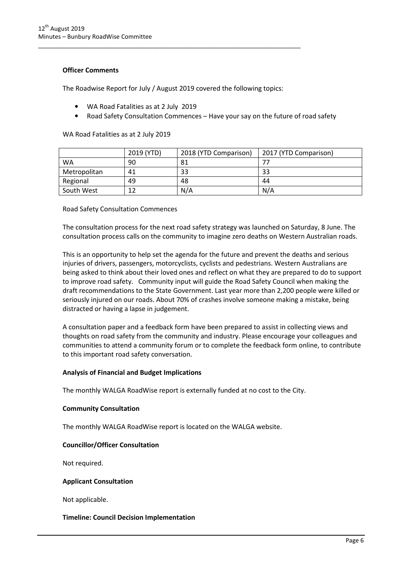#### Officer Comments

The Roadwise Report for July / August 2019 covered the following topics:

\_\_\_\_\_\_\_\_\_\_\_\_\_\_\_\_\_\_\_\_\_\_\_\_\_\_\_\_\_\_\_\_\_\_\_\_\_\_\_\_\_\_\_\_\_\_\_\_\_\_\_\_\_\_\_\_\_\_\_\_\_\_\_\_\_\_\_\_\_\_\_\_\_\_\_\_\_\_

- WA Road Fatalities as at 2 July 2019
- Road Safety Consultation Commences Have your say on the future of road safety

|              | 2019 (YTD) | 2018 (YTD Comparison) | 2017 (YTD Comparison) |
|--------------|------------|-----------------------|-----------------------|
| WA           | 90         | 81                    |                       |
| Metropolitan | 41         | 33                    | 33                    |
| Regional     | 49         | 48                    | 44                    |
| South West   | 12         | N/A                   | N/A                   |

WA Road Fatalities as at 2 July 2019

Road Safety Consultation Commences

The consultation process for the next road safety strategy was launched on Saturday, 8 June. The consultation process calls on the community to imagine zero deaths on Western Australian roads.

This is an opportunity to help set the agenda for the future and prevent the deaths and serious injuries of drivers, passengers, motorcyclists, cyclists and pedestrians. Western Australians are being asked to think about their loved ones and reflect on what they are prepared to do to support to improve road safety. Community input will guide the Road Safety Council when making the draft recommendations to the State Government. Last year more than 2,200 people were killed or seriously injured on our roads. About 70% of crashes involve someone making a mistake, being distracted or having a lapse in judgement.

A consultation paper and a feedback form have been prepared to assist in collecting views and thoughts on road safety from the community and industry. Please encourage your colleagues and communities to attend a community forum or to complete the feedback form online, to contribute to this important road safety conversation.

#### Analysis of Financial and Budget Implications

The monthly WALGA RoadWise report is externally funded at no cost to the City.

#### Community Consultation

The monthly WALGA RoadWise report is located on the WALGA website.

#### Councillor/Officer Consultation

Not required.

#### Applicant Consultation

Not applicable.

#### Timeline: Council Decision Implementation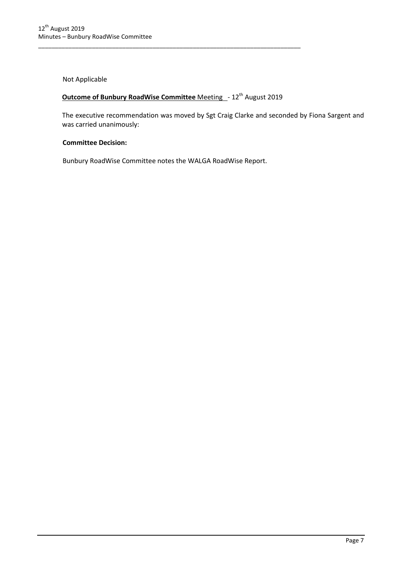Not Applicable

# **Outcome of Bunbury RoadWise Committee Meeting - 12<sup>th</sup> August 2019**

\_\_\_\_\_\_\_\_\_\_\_\_\_\_\_\_\_\_\_\_\_\_\_\_\_\_\_\_\_\_\_\_\_\_\_\_\_\_\_\_\_\_\_\_\_\_\_\_\_\_\_\_\_\_\_\_\_\_\_\_\_\_\_\_\_\_\_\_\_\_\_\_\_\_\_\_\_\_

The executive recommendation was moved by Sgt Craig Clarke and seconded by Fiona Sargent and was carried unanimously:

#### Committee Decision:

Bunbury RoadWise Committee notes the WALGA RoadWise Report.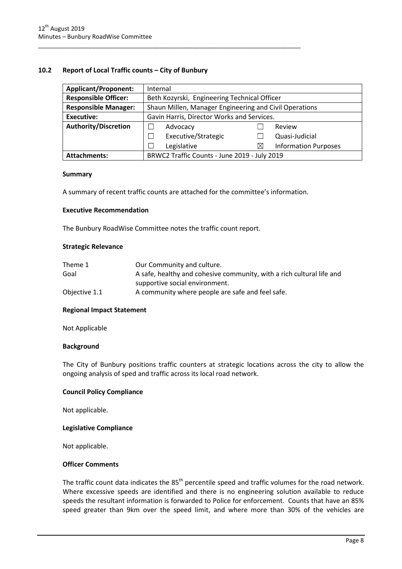#### 10.2 Report of Local Traffic counts – City of Bunbury

| <b>Applicant/Proponent:</b> | Internal                                               |   |                             |
|-----------------------------|--------------------------------------------------------|---|-----------------------------|
| <b>Responsible Officer:</b> | Beth Kozyrski, Engineering Technical Officer           |   |                             |
| <b>Responsible Manager:</b> | Shaun Millen, Manager Engineering and Civil Operations |   |                             |
| <b>Executive:</b>           | Gavin Harris, Director Works and Services.             |   |                             |
| <b>Authority/Discretion</b> | Advocacy                                               |   | Review                      |
|                             | Executive/Strategic                                    |   | Quasi-Judicial              |
|                             | Legislative                                            | ⊠ | <b>Information Purposes</b> |
| <b>Attachments:</b>         | BRWC2 Traffic Counts - June 2019 - July 2019           |   |                             |

#### Summary

A summary of recent traffic counts are attached for the committee's information.

\_\_\_\_\_\_\_\_\_\_\_\_\_\_\_\_\_\_\_\_\_\_\_\_\_\_\_\_\_\_\_\_\_\_\_\_\_\_\_\_\_\_\_\_\_\_\_\_\_\_\_\_\_\_\_\_\_\_\_\_\_\_\_\_\_\_\_\_\_\_\_\_\_\_\_\_\_\_

#### Executive Recommendation

The Bunbury RoadWise Committee notes the traffic count report.

#### Strategic Relevance

| Theme 1       | Our Community and culture.                                            |
|---------------|-----------------------------------------------------------------------|
| Goal          | A safe, healthy and cohesive community, with a rich cultural life and |
|               | supportive social environment.                                        |
| Objective 1.1 | A community where people are safe and feel safe.                      |

#### Regional Impact Statement

Not Applicable

#### **Background**

The City of Bunbury positions traffic counters at strategic locations across the city to allow the ongoing analysis of sped and traffic across its local road network.

#### Council Policy Compliance

Not applicable.

#### Legislative Compliance

Not applicable.

#### Officer Comments

The traffic count data indicates the 85<sup>th</sup> percentile speed and traffic volumes for the road network. Where excessive speeds are identified and there is no engineering solution available to reduce speeds the resultant information is forwarded to Police for enforcement. Counts that have an 85% speed greater than 9km over the speed limit, and where more than 30% of the vehicles are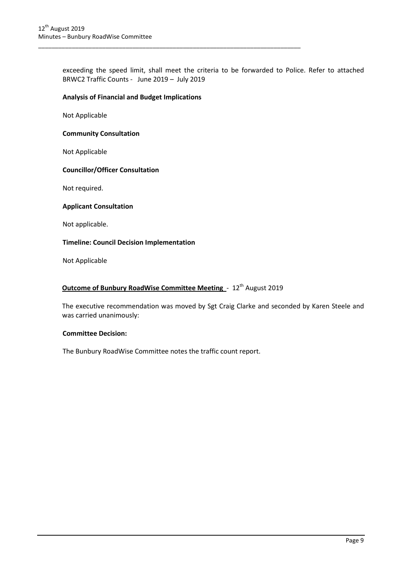exceeding the speed limit, shall meet the criteria to be forwarded to Police. Refer to attached BRWC2 Traffic Counts - June 2019 – July 2019

#### Analysis of Financial and Budget Implications

\_\_\_\_\_\_\_\_\_\_\_\_\_\_\_\_\_\_\_\_\_\_\_\_\_\_\_\_\_\_\_\_\_\_\_\_\_\_\_\_\_\_\_\_\_\_\_\_\_\_\_\_\_\_\_\_\_\_\_\_\_\_\_\_\_\_\_\_\_\_\_\_\_\_\_\_\_\_

Not Applicable

#### Community Consultation

Not Applicable

#### Councillor/Officer Consultation

Not required.

#### Applicant Consultation

Not applicable.

#### Timeline: Council Decision Implementation

Not Applicable

#### Outcome of Bunbury RoadWise Committee Meeting - 12<sup>th</sup> August 2019

The executive recommendation was moved by Sgt Craig Clarke and seconded by Karen Steele and was carried unanimously:

#### Committee Decision:

The Bunbury RoadWise Committee notes the traffic count report.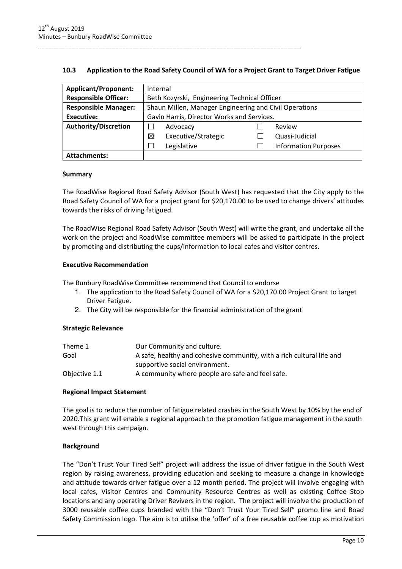| 10.3 | Application to the Road Safety Council of WA for a Project Grant to Target Driver Fatigue |  |
|------|-------------------------------------------------------------------------------------------|--|
|      |                                                                                           |  |

\_\_\_\_\_\_\_\_\_\_\_\_\_\_\_\_\_\_\_\_\_\_\_\_\_\_\_\_\_\_\_\_\_\_\_\_\_\_\_\_\_\_\_\_\_\_\_\_\_\_\_\_\_\_\_\_\_\_\_\_\_\_\_\_\_\_\_\_\_\_\_\_\_\_\_\_\_\_

| <b>Applicant/Proponent:</b> | Internal                                               |                             |                |  |  |  |  |  |  |  |
|-----------------------------|--------------------------------------------------------|-----------------------------|----------------|--|--|--|--|--|--|--|
| <b>Responsible Officer:</b> | Beth Kozyrski, Engineering Technical Officer           |                             |                |  |  |  |  |  |  |  |
| <b>Responsible Manager:</b> | Shaun Millen, Manager Engineering and Civil Operations |                             |                |  |  |  |  |  |  |  |
| <b>Executive:</b>           | Gavin Harris, Director Works and Services.             |                             |                |  |  |  |  |  |  |  |
| <b>Authority/Discretion</b> | Advocacy                                               |                             | Review         |  |  |  |  |  |  |  |
|                             | Executive/Strategic<br>$\times$                        |                             | Quasi-Judicial |  |  |  |  |  |  |  |
|                             | Legislative                                            | <b>Information Purposes</b> |                |  |  |  |  |  |  |  |
| <b>Attachments:</b>         |                                                        |                             |                |  |  |  |  |  |  |  |

#### Summary

The RoadWise Regional Road Safety Advisor (South West) has requested that the City apply to the Road Safety Council of WA for a project grant for \$20,170.00 to be used to change drivers' attitudes towards the risks of driving fatigued.

The RoadWise Regional Road Safety Advisor (South West) will write the grant, and undertake all the work on the project and RoadWise committee members will be asked to participate in the project by promoting and distributing the cups/information to local cafes and visitor centres.

#### Executive Recommendation

The Bunbury RoadWise Committee recommend that Council to endorse

- 1. The application to the Road Safety Council of WA for a \$20,170.00 Project Grant to target Driver Fatigue.
- 2. The City will be responsible for the financial administration of the grant

#### Strategic Relevance

| Theme 1       | Our Community and culture.                                            |  |  |  |  |  |
|---------------|-----------------------------------------------------------------------|--|--|--|--|--|
| Goal          | A safe, healthy and cohesive community, with a rich cultural life and |  |  |  |  |  |
|               | supportive social environment.                                        |  |  |  |  |  |
| Objective 1.1 | A community where people are safe and feel safe.                      |  |  |  |  |  |

#### Regional Impact Statement

The goal is to reduce the number of fatigue related crashes in the South West by 10% by the end of 2020.This grant will enable a regional approach to the promotion fatigue management in the south west through this campaign.

#### Background

The "Don't Trust Your Tired Self" project will address the issue of driver fatigue in the South West region by raising awareness, providing education and seeking to measure a change in knowledge and attitude towards driver fatigue over a 12 month period. The project will involve engaging with local cafes, Visitor Centres and Community Resource Centres as well as existing Coffee Stop locations and any operating Driver Revivers in the region. The project will involve the production of 3000 reusable coffee cups branded with the "Don't Trust Your Tired Self" promo line and Road Safety Commission logo. The aim is to utilise the 'offer' of a free reusable coffee cup as motivation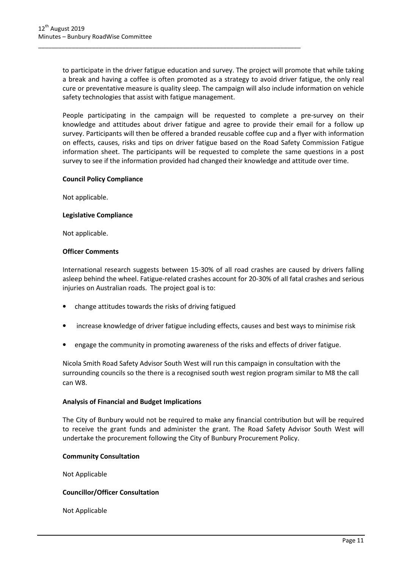to participate in the driver fatigue education and survey. The project will promote that while taking a break and having a coffee is often promoted as a strategy to avoid driver fatigue, the only real cure or preventative measure is quality sleep. The campaign will also include information on vehicle safety technologies that assist with fatigue management.

\_\_\_\_\_\_\_\_\_\_\_\_\_\_\_\_\_\_\_\_\_\_\_\_\_\_\_\_\_\_\_\_\_\_\_\_\_\_\_\_\_\_\_\_\_\_\_\_\_\_\_\_\_\_\_\_\_\_\_\_\_\_\_\_\_\_\_\_\_\_\_\_\_\_\_\_\_\_

People participating in the campaign will be requested to complete a pre-survey on their knowledge and attitudes about driver fatigue and agree to provide their email for a follow up survey. Participants will then be offered a branded reusable coffee cup and a flyer with information on effects, causes, risks and tips on driver fatigue based on the Road Safety Commission Fatigue information sheet. The participants will be requested to complete the same questions in a post survey to see if the information provided had changed their knowledge and attitude over time.

#### Council Policy Compliance

Not applicable.

#### Legislative Compliance

Not applicable.

#### Officer Comments

International research suggests between 15-30% of all road crashes are caused by drivers falling asleep behind the wheel. Fatigue-related crashes account for 20-30% of all fatal crashes and serious injuries on Australian roads. The project goal is to:

- change attitudes towards the risks of driving fatigued
- increase knowledge of driver fatigue including effects, causes and best ways to minimise risk
- engage the community in promoting awareness of the risks and effects of driver fatigue.

Nicola Smith Road Safety Advisor South West will run this campaign in consultation with the surrounding councils so the there is a recognised south west region program similar to M8 the call can W8.

#### Analysis of Financial and Budget Implications

The City of Bunbury would not be required to make any financial contribution but will be required to receive the grant funds and administer the grant. The Road Safety Advisor South West will undertake the procurement following the City of Bunbury Procurement Policy.

#### Community Consultation

Not Applicable

#### Councillor/Officer Consultation

Not Applicable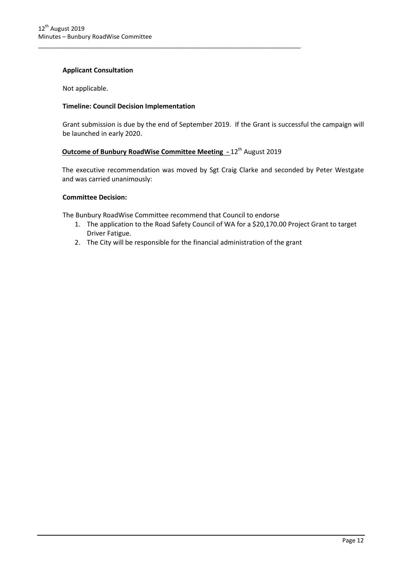#### Applicant Consultation

Not applicable.

#### Timeline: Council Decision Implementation

Grant submission is due by the end of September 2019. If the Grant is successful the campaign will be launched in early 2020.

#### Outcome of Bunbury RoadWise Committee Meeting - 12<sup>th</sup> August 2019

\_\_\_\_\_\_\_\_\_\_\_\_\_\_\_\_\_\_\_\_\_\_\_\_\_\_\_\_\_\_\_\_\_\_\_\_\_\_\_\_\_\_\_\_\_\_\_\_\_\_\_\_\_\_\_\_\_\_\_\_\_\_\_\_\_\_\_\_\_\_\_\_\_\_\_\_\_\_

The executive recommendation was moved by Sgt Craig Clarke and seconded by Peter Westgate and was carried unanimously:

#### Committee Decision:

The Bunbury RoadWise Committee recommend that Council to endorse

- 1. The application to the Road Safety Council of WA for a \$20,170.00 Project Grant to target Driver Fatigue.
- 2. The City will be responsible for the financial administration of the grant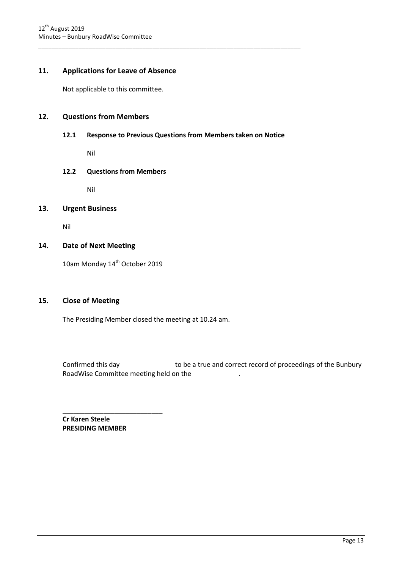#### 11. Applications for Leave of Absence

Not applicable to this committee.

#### 12. Questions from Members

12.1 Response to Previous Questions from Members taken on Notice

\_\_\_\_\_\_\_\_\_\_\_\_\_\_\_\_\_\_\_\_\_\_\_\_\_\_\_\_\_\_\_\_\_\_\_\_\_\_\_\_\_\_\_\_\_\_\_\_\_\_\_\_\_\_\_\_\_\_\_\_\_\_\_\_\_\_\_\_\_\_\_\_\_\_\_\_\_\_

Nil

#### 12.2 Questions from Members

Nil

#### 13. Urgent Business

Nil

#### 14. Date of Next Meeting

10am Monday 14<sup>th</sup> October 2019

#### 15. Close of Meeting

The Presiding Member closed the meeting at 10.24 am.

Confirmed this day to be a true and correct record of proceedings of the Bunbury RoadWise Committee meeting held on the .

Cr Karen Steele PRESIDING MEMBER

 $\frac{1}{2}$  ,  $\frac{1}{2}$  ,  $\frac{1}{2}$  ,  $\frac{1}{2}$  ,  $\frac{1}{2}$  ,  $\frac{1}{2}$  ,  $\frac{1}{2}$  ,  $\frac{1}{2}$  ,  $\frac{1}{2}$  ,  $\frac{1}{2}$  ,  $\frac{1}{2}$  ,  $\frac{1}{2}$  ,  $\frac{1}{2}$  ,  $\frac{1}{2}$  ,  $\frac{1}{2}$  ,  $\frac{1}{2}$  ,  $\frac{1}{2}$  ,  $\frac{1}{2}$  ,  $\frac{1$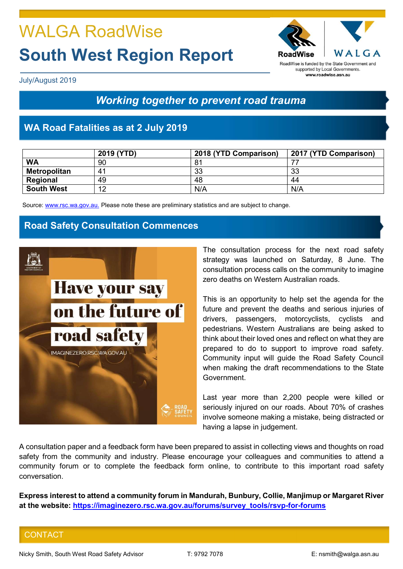# WALGA RoadWise South West Region Report



RoadWise is funded by the State Government and supported by Local Governments. www.roadwise.asn.au

July/August 2019

# Working together to prevent road trauma

# WA Road Fatalities as at 2 July 2019

|                     | 2019 (YTD) | 2018 (YTD Comparison) | 2017 (YTD Comparison) |
|---------------------|------------|-----------------------|-----------------------|
| <b>WA</b>           | 90         | 81                    |                       |
| <b>Metropolitan</b> | 41         | 33                    | 33                    |
| Regional            | 49         | 48                    | 44                    |
| <b>South West</b>   | 12         | N/A                   | N/A                   |

Source: www.rsc.wa.gov.au. Please note these are preliminary statistics and are subject to change.

## Road Safety Consultation Commences



The consultation process for the next road safety strategy was launched on Saturday, 8 June. The consultation process calls on the community to imagine zero deaths on Western Australian roads.

This is an opportunity to help set the agenda for the future and prevent the deaths and serious injuries of drivers, passengers, motorcyclists, cyclists and pedestrians. Western Australians are being asked to think about their loved ones and reflect on what they are prepared to do to support to improve road safety. Community input will guide the Road Safety Council when making the draft recommendations to the State Government.

Last year more than 2,200 people were killed or seriously injured on our roads. About 70% of crashes involve someone making a mistake, being distracted or having a lapse in judgement.

A consultation paper and a feedback form have been prepared to assist in collecting views and thoughts on road safety from the community and industry. Please encourage your colleagues and communities to attend a community forum or to complete the feedback form online, to contribute to this important road safety conversation.

Express interest to attend a community forum in Mandurah, Bunbury, Collie, Manjimup or Margaret River at the website: https://imaginezero.rsc.wa.gov.au/forums/survey\_tools/rsvp-for-forums

## **CONTACT**